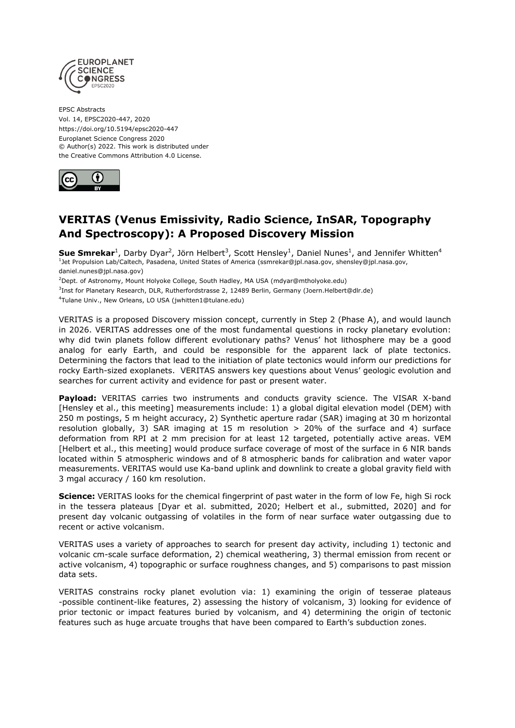

EPSC Abstracts Vol. 14, EPSC2020-447, 2020 https://doi.org/10.5194/epsc2020-447 Europlanet Science Congress 2020 © Author(s) 2022. This work is distributed under the Creative Commons Attribution 4.0 License.



## **VERITAS (Venus Emissivity, Radio Science, InSAR, Topography And Spectroscopy): A Proposed Discovery Mission**

 $\textsf{Sue Smrekar}^1$ , Darby Dyar<sup>2</sup>, Jörn Helbert<sup>3</sup>, Scott Hensley<sup>1</sup>, Daniel Nunes<sup>1</sup>, and Jennifer Whitten<sup>4</sup><br><sup>1</sup>Jet Propulsion Lab/Caltech, Pasadena, United States of America (ssmrekar@jpl.nasa.gov, shensley@jpl.nasa.gov, daniel.nunes@jpl.nasa.gov)

<sup>2</sup>Dept. of Astronomy, Mount Holyoke College, South Hadley, MA USA (mdyar@mtholyoke.edu)

<sup>3</sup>Inst for Planetary Research, DLR, Rutherfordstrasse 2, 12489 Berlin, Germany (Joern.Helbert@dlr.de)

4 Tulane Univ., New Orleans, LO USA (jwhitten1@tulane.edu)

VERITAS is a proposed Discovery mission concept, currently in Step 2 (Phase A), and would launch in 2026. VERITAS addresses one of the most fundamental questions in rocky planetary evolution: why did twin planets follow different evolutionary paths? Venus' hot lithosphere may be a good analog for early Earth, and could be responsible for the apparent lack of plate tectonics. Determining the factors that lead to the initiation of plate tectonics would inform our predictions for rocky Earth-sized exoplanets. VERITAS answers key questions about Venus' geologic evolution and searches for current activity and evidence for past or present water.

**Payload:** VERITAS carries two instruments and conducts gravity science. The VISAR X-band [Hensley et al., this meeting] measurements include: 1) a global digital elevation model (DEM) with 250 m postings, 5 m height accuracy, 2) Synthetic aperture radar (SAR) imaging at 30 m horizontal resolution globally, 3) SAR imaging at 15 m resolution > 20% of the surface and 4) surface deformation from RPI at 2 mm precision for at least 12 targeted, potentially active areas. VEM [Helbert et al., this meeting] would produce surface coverage of most of the surface in 6 NIR bands located within 5 atmospheric windows and of 8 atmospheric bands for calibration and water vapor measurements. VERITAS would use Ka-band uplink and downlink to create a global gravity field with 3 mgal accuracy / 160 km resolution.

**Science:** VERITAS looks for the chemical fingerprint of past water in the form of low Fe, high Si rock in the tessera plateaus [Dyar et al. submitted, 2020; Helbert et al., submitted, 2020] and for present day volcanic outgassing of volatiles in the form of near surface water outgassing due to recent or active volcanism.

VERITAS uses a variety of approaches to search for present day activity, including 1) tectonic and volcanic cm-scale surface deformation, 2) chemical weathering, 3) thermal emission from recent or active volcanism, 4) topographic or surface roughness changes, and 5) comparisons to past mission data sets.

VERITAS constrains rocky planet evolution via: 1) examining the origin of tesserae plateaus -possible continent-like features, 2) assessing the history of volcanism, 3) looking for evidence of prior tectonic or impact features buried by volcanism, and 4) determining the origin of tectonic features such as huge arcuate troughs that have been compared to Earth's subduction zones.